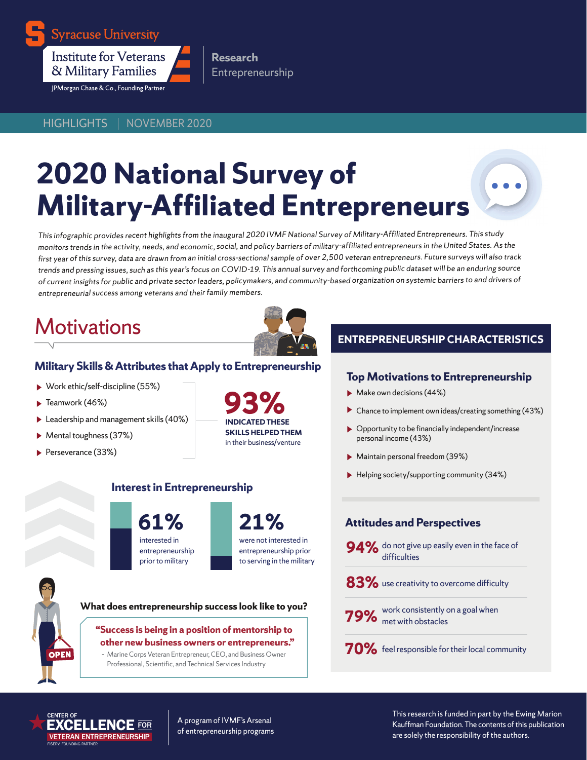

**Syracuse University** 

**Institute for Veterans** & Military Families

JPMorgan Chase & Co., Founding Partner

HIGHLIGHTS | NOVEMBER 2020

# **2020 National Survey of Military-Affiliated Entrepreneurs**

**Research**

Entrepreneurship

This infographic provides recent highlights from the inaugural 2020 IVMF National Survey of Military-Affiliated Entrepreneurs. This study monitors trends in the activity, needs, and economic, social, and policy barriers of military-affiliated entrepreneurs in the United States. As the first year of this survey, data are drawn from an initial cross-sectional sample of over 2,500 veteran entrepreneurs. Future surveys will also track trends and pressing issues, such as this year's focus on COVID-19. This annual survey and forthcoming public dataset will be an enduring source of current insights for public and private sector leaders, policymakers, and community-based organization on systemic barriers to and drivers of entrepreneurial success among veterans and their family members.

# **Motivations**



## **Military Skills & Attributes that Apply to Entrepreneurship**

- Work ethic/self-discipline (55%)
- $\blacktriangleright$  Teamwork (46%)
- Leadership and management skills (40%)
- Mental toughness (37%)
- Perseverance (33%)

**INDICATED THESE SKILLS HELPED THEM**  in their business/venture **93%**

> were not interested in entrepreneurship prior to serving in the military

## **ENTREPRENEURSHIP CHARACTERISTICS**

### **Top Motivations to Entrepreneurship**

- Make own decisions (44%)
- ▶ Chance to implement own ideas/creating something (43%)
- ▶ Opportunity to be financially independent/increase personal income (43%)
- Maintain personal freedom (39%)
- Helping society/supporting community (34%)

## **Attitudes and Perspectives**

- **94%** do not give up easily even in the face of difficulties
- **83%** use creativity to overcome difficulty
- work consistently on a goal when **79%** met with obstacles
- **70%** feel responsible for their local community

**What does entrepreneurship success look like to you?** 

**Interest in Entrepreneurship**

interested in entrepreneurship prior to military

**61% 21%**

#### **"Success is being in a position of mentorship to other new business owners or entrepreneurs."**

– Marine Corps Veteran Entrepreneur, CEO, and Business Owner Professional, Scientific, and Technical Services Industry

FISERV, FOUNDING PARTNER CENTER OF **LENCE** FOR VETERAN ENTREPRENEURSHIP

**OPEN** 

A program of IVMF's Arsenal of entrepreneurship programs

This research is funded in part by the Ewing Marion Kauffman Foundation. The contents of this publication are solely the responsibility of the authors.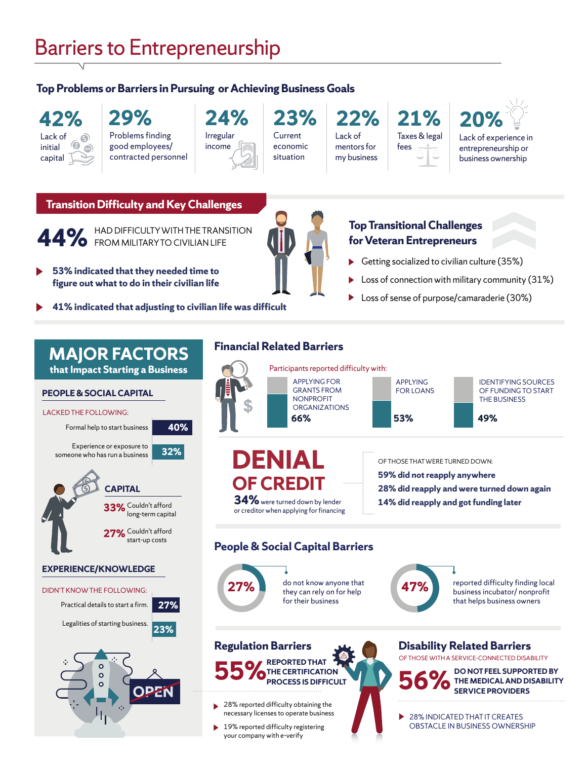## Barriers to Entrepreneurship

## **Top Problems or Barriers in Pursuing or Achieving Business Goals**

#### **42%** Lack of Q initial  $\odot$ capital

## **29%** Problems finding good employees/

contracted personnel Irregular income **24%** Current economic situation **23%**

Lack of mentors for my business

## **22% 21%** Taxes & legal fees



Lack of experience in entrepreneurship or business ownership

### **Transition Difficulty and Key Challenges**



**44%** HAD DIFFICULTY WITH THE TRANSITION

- **53% indicated that they needed time to figure out what to do in their civilian life**
- **41% indicated that adjusting to civilian life was difficult**

**40%**

**32%**

## **Top Transitional Challenges for Veteran Entrepreneurs**

- Getting socialized to civilian culture (35%)
- Loss of connection with military community (31%)
- Loss of sense of purpose/camaraderie (30%)

## **MAJOR FACTORS that Impact Starting a Business**

### **PEOPLE & SOCIAL CAPITAL**

#### LACKED THE FOLLOWING:

Formal help to start business

Experience or exposure to someone who has run a business



#### **EXPERIENCE/KNOWLEDGE**

## DIDN'T KNOW THE FOLLOWING: Practical details to start a firm. **27%**





## **Financial Related Barriers**



## **People & Social Capital Barriers**



business incubator/ nonprofit that helps business owners

#### **REPORTED THAT THE CERTIFICATION PROCESS IS DIFFICULT Regulation Barriers 55%**

28% reported difficulty obtaining the necessary licenses to operate business

19% reported difficulty registering your company with e-verify

**Disability Related Barriers**  OF THOSE WITH A SERVICE-CONNECTED DISABILITY



**56%** DO NOT FEEL SUPPORTED BY THE MEDICAL AND DISABILIT **THE MEDICAL AND DISABILITY SERVICE PROVIDERS**

28% INDICATED THAT IT CREATES OBSTACLE IN BUSINESS OWNERSHIP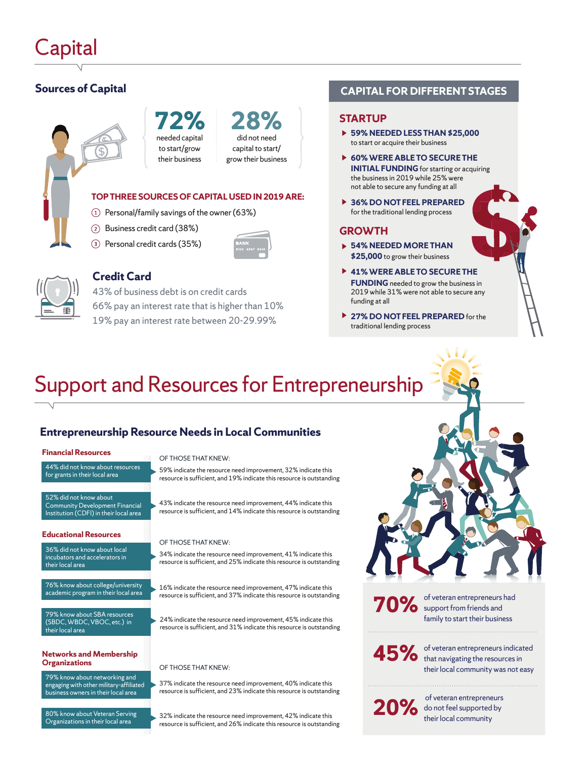## **Sources of Capital**



**72%** needed capital to start/grow their business

## did not need capital to start/ **28%**

grow their business

#### **TOP THREE SOURCES OF CAPITAL USED IN 2019 ARE:**

- $\Omega$  Personal/family savings of the owner (63%)
- Business credit card (38%)
- Personal credit cards (35%)





## **Credit Card**

43% of business debt is on credit cards 66% pay an interest rate that is higher than 10% 19% pay an interest rate between 20-29.99%

## **CAPITAL FOR DIFFERENT STAGES**

#### **STARTUP**

- **59% NEEDED LESS THAN \$25,000** to start or acquire their business
- **60% WERE ABLE TO SECURE THE INITIAL FUNDING** for starting or acquiring the business in 2019 while 25% were not able to secure any funding at all
- ▶ **36% DO NOT FEEL PREPARED**  for the traditional lending process

#### **GROWTH**

- **54% NEEDED MORE THAN \$25,000** to grow their business
- **41% WERE ABLE TO SECURE THE FUNDING** needed to grow the business in 2019 while 31% were not able to secure any funding at all
- **27% DO NOT FEEL PREPARED** for the traditional lending process

# Support and Resources for Entrepreneurship

## **Entrepreneurship Resource Needs in Local Communities**

#### **Financial Resources**

#### 44% did not know about resources for grants in their local area

52% did not know about Community Development Financial Institution (CDFI) in their local area

#### **Educational Resources**

36% did not know about local incubators and accelerators in their local area

76% know about college/university academic program in their local area

79% know about SBA resources (SBDC, WBDC, VBOC, etc.) in their local area

## **Networks and Membership**

79% know about networking and engaging with other military-affiliated business owners in their local area

80% know about Veteran Serving Organizations in their local area

#### OF THOSE THAT KNEW:

59% indicate the resource need improvement, 32% indicate this resource is sufficient, and 19% indicate this resource is outstanding

43% indicate the resource need improvement, 44% indicate this resource is sufficient, and 14% indicate this resource is outstanding

#### OF THOSE THAT KNEW:

34% indicate the resource need improvement, 41% indicate this resource is sufficient, and 25% indicate this resource is outstanding

16% indicate the resource need improvement, 47% indicate this resource is sufficient, and 37% indicate this resource is outstanding

24% indicate the resource need improvement, 45% indicate this resource is sufficient, and 31% indicate this resource is outstanding

#### **OF THOSE THAT KNEW:**

37% indicate the resource need improvement, 40% indicate this resource is sufficient, and 23% indicate this resource is outstanding

32% indicate the resource need improvement, 42% indicate this resource is sufficient, and 26% indicate this resource is outstanding **70%** of veteran entrepreneurs had

family to start their business

of veteran entrepreneurs indicated **45%** of veteran entrepreneurs indicately their local community was not easy

 of veteran entrepreneurs **20%** do not feel supported by